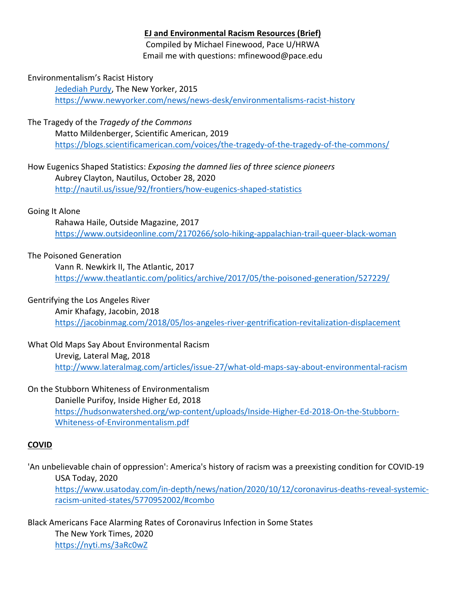# **EJ and Environmental Racism Resources (Brief)**

Compiled by Michael Finewood, Pace U/HRWA Email me with questions: mfinewood@pace.edu

## Environmentalism's Racist History

Jedediah Purdy, The New Yorker, 2015 https://www.newyorker.com/news/news-desk/environmentalisms-racist-history

# The Tragedy of the *Tragedy of the Commons*

Matto Mildenberger, Scientific American, 2019 https://blogs.scientificamerican.com/voices/the-tragedy-of-the-tragedy-of-the-commons/

#### How Eugenics Shaped Statistics: *Exposing the damned lies of three science pioneers* Aubrey Clayton, Nautilus, October 28, 2020 http://nautil.us/issue/92/frontiers/how-eugenics-shaped-statistics

### Going It Alone

Rahawa Haile, Outside Magazine, 2017 https://www.outsideonline.com/2170266/solo-hiking-appalachian-trail-queer-black-woman

### The Poisoned Generation

Vann R. Newkirk II, The Atlantic, 2017 https://www.theatlantic.com/politics/archive/2017/05/the-poisoned-generation/527229/

#### Gentrifying the Los Angeles River

Amir Khafagy, Jacobin, 2018 https://jacobinmag.com/2018/05/los-angeles-river-gentrification-revitalization-displacement

### What Old Maps Say About Environmental Racism

Urevig, Lateral Mag, 2018 http://www.lateralmag.com/articles/issue-27/what-old-maps-say-about-environmental-racism

# On the Stubborn Whiteness of Environmentalism

Danielle Purifoy, Inside Higher Ed, 2018 https://hudsonwatershed.org/wp-content/uploads/Inside-Higher-Ed-2018-On-the-Stubborn-Whiteness-of-Environmentalism.pdf

### **COVID**

'An unbelievable chain of oppression': America's history of racism was a preexisting condition for COVID-19 USA Today, 2020

https://www.usatoday.com/in-depth/news/nation/2020/10/12/coronavirus-deaths-reveal-systemicracism-united-states/5770952002/#combo

Black Americans Face Alarming Rates of Coronavirus Infection in Some States The New York Times, 2020 https://nyti.ms/3aRc0wZ